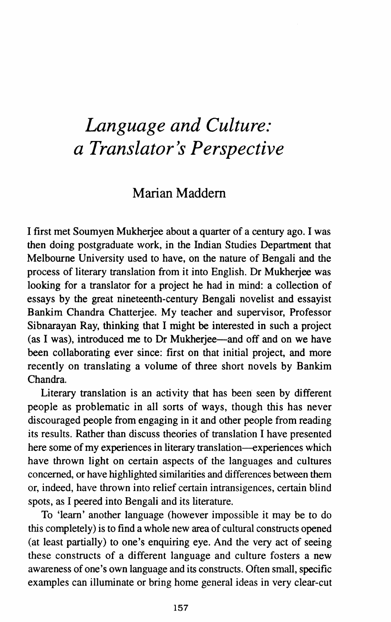## *Language and Culture: a Translator's Perspective*

## Marian Maddem

I first met Soumyen Mukherjee about a quarter of a century ago. I was then doing postgraduate work, in the Indian Studies Department that Melbourne University used to have, on the nature of Bengali and the process of literary translation from it into English. Dr Mukherjee was looking for a translator for a project he had in mind: a collection of essays by the great nineteenth-century Bengali novelist and essayist Bankim Chandra Chatterjee. My teacher and supervisor, Professor Sibnarayan Ray, thinking that I might be interested in such a project (as I was), introduced me to Dr Mukherjee-and off and on we have been collaborating ever since: first on that initial project, and more recently on translating a volume of three short novels by Bankim Chandra.

Literary translation is an activity that has been seen by different people as problematic in all sorts of ways, though this has never discouraged people from engaging in it and other people from reading its results. Rather than discuss theories of translation I have presented here some of my experiences in literary translation-experiences which have thrown light on certain aspects of the languages and cultures concerned, or have highlighted similarities and differences between them or, indeed, have thrown into relief certain intransigences, certain blind spots, as I peered into Bengali and its literature.

To 'learn' another language (however impossible it may be to do this completely) is to find a whole new area of cultural constructs opened (at least partially) to one's enquiring eye. And the very act of seeing these constructs of a different language and culture fosters a new awareness of one's own language and its constructs. Often small, specific examples can illuminate or bring home general ideas in very clear-cut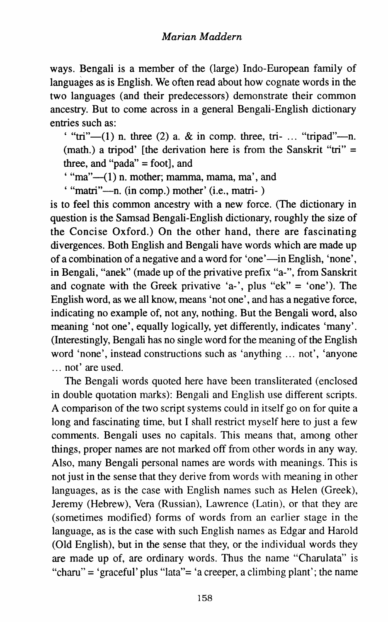ways. Bengali is a member of the (large) Indo-European family of languages as is English. We often read about how cognate words in the two languages (and their predecessors) demonstrate their common ancestry. But to come across in a general Bengali-English dictionary entries such as:

' "tri" $-(1)$  n. three (2) a. & in comp. three, tri- ... "tripad"---n. (math.) a tripod' [the derivation here is from the Sanskrit "tri"  $=$ three, and "pada" = foot], and

 $"$ "ma" $-$ (1) n. mother; mamma, mama, ma', and

' "matri"-n. (in comp.) mother' (i.e., matri- )

is to feel this common ancestry with a new force. (The dictionary in question is the Samsad Bengali-English dictionary, roughly the size of the Concise Oxford.) On the other hand, there are fascinating divergences. Both English and Bengali have words which are made up of a combination of a negative and a word for 'one'—in English, 'none', in Bengali, "anek" (made up of the privative prefix "a-", from Sanskrit and cognate with the Greek privative 'a-', plus "ek" = 'one'). The English word, as we all know, means 'not one', and has a negative force, indicating no example of, not any, nothing. But the Bengali word, also meaning 'not one', equally logically, yet differently, indicates 'many'. (Interestingly, Bengali has no single word for the meaning of the English word 'none', instead constructions such as 'anything ... not', 'anyone ... not' are used.

The Bengali words quoted here have been transliterated (enclosed in double quotation marks): Bengali and English use different scripts. A comparison of the two script systems could in itself go on for quite a long and fascinating time, but I shall restrict myself here to just a few comments. Bengali uses no capitals. This means that, among other things, proper names are not marked off from other words in any way. Also, many Bengali personal names are words with meanings. This is not just in the sense that they derive from words with meaning in other languages, as is the case with English names such as Helen (Greek), Jeremy (Hebrew), Vera (Russian), Lawrence (Latin), or that they are (sometimes modified) forms of words from an earlier stage in the language, as is the case with such English names as Edgar and Harold (Old English), but in the sense that they, or the individual words they are made up of, are ordinary words. Thus the name "Charulata" is "charu" = 'graceful' plus "lata"= 'a creeper, a climbing plant'; the name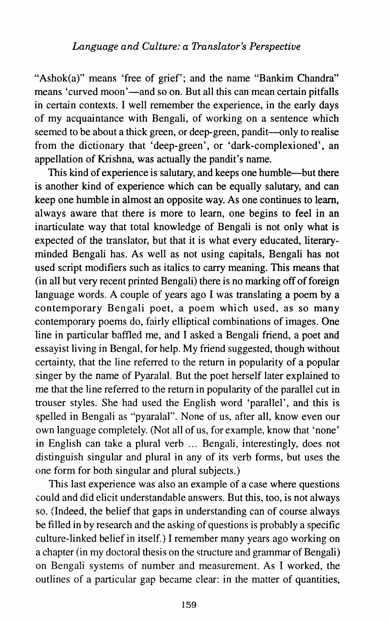"Ashok(a)" means 'free of grief'; and the name "Bankim Chandra" means 'curved moon'—and so on. But all this can mean certain pitfalls in certain contexts. I well remember the experience, in the early days of my acquaintance with Bengali, of working on a sentence which seemed to be about a thick green, or deep-green, pandit-only to realise from the dictionary that 'deep-green', or 'dark-complexioned', an appellation of Krishna, was actually the pandit's name.

This kind of experience is salutary, and keeps one humble--but there is another kind of experience which can be equally salutary, and can keep one humble in almost an opposite way. As one continues to learn, always aware that there is more to learn, one begins to feel in an inarticulate way that total knowledge of Bengali is not only what is expected of the translator, but that it is what every educated, literaryminded Bengali has. As well as not using capitals, Bengali has not used script modifiers such as italics to carry meaning. This means that  $(in all but very recent printed Bengali) there is no marking off of foreign$ language words. A couple of years ago I was translating a poem by a contemporary Bengali poet, a poem which used, as so many contemporary poems do, fairly elliptical combinations of images. One line in particular baffled me, and I asked a Bengali friend, a poet and essayist living in Bengal, for help. My friend suggested, though without certainty, that the line referred to the return in popularity of a popular singer by the name of Pyaralal. But the poet herself later explained to me that the line referred to the return in popularity of the parallel cut in trouser styles. She had used the English word 'parallel', and this is spelled in Bengali as "pyaralal". None of us, after all, know even our own language completely. (Not all of us, for example, know that 'none' in English can take a plural verb ... Bengali, interestingly, does not distinguish singular and plural in any of its verb forms, but uses the one form for both singular and plural subjects.)

This last experience was also an example of a case where questions could and did elicit understandable answers. But this, too, is not always so. (Indeed, the belief that gaps in understanding can of course always be filled in by research and the asking of questions is probably a specific culture-linked belief in itself.) I remember many years ago working on a chapter (in my doctoral thesis on the structure and grammar of Bengali) on Bengali systems of number and measurement. As I worked, the outlines of a particular gap became clear: in the matter of quantities,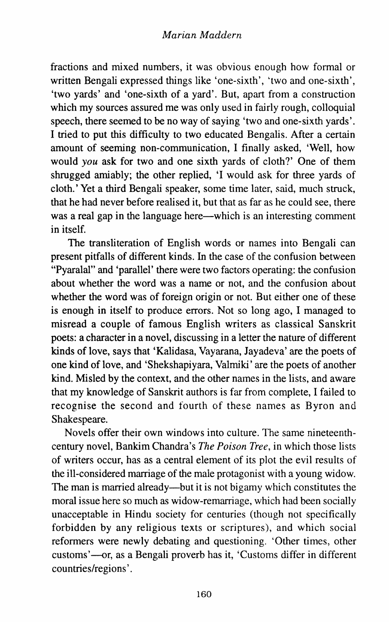fractions and mixed numbers, it was obvious enough how formal or written Bengali expressed things like 'one-sixth', 'two and one-sixth', 'two yards' and 'one-sixth of a yard'. But, apart from a construction which my sources assured me was only used in fairly rough, colloquial speech, there seemed to be no way of saying 'two and one-sixth yards'. I tried to put this difficulty to two educated Bengalis. After a certain amount of seeming non-communication, I finally asked, 'Well, how would *you* ask for two and one sixth yards of cloth?' One of them shrugged amiably; the other replied, 'I would ask for three yards of cloth.' Yet a third Bengali speaker, some time later, said, much struck, that he had never before realised it, but that as far as he could see, there was a real gap in the language here—which is an interesting comment in itself.

The transliteration of English words or names into Bengali can present pitfalls of different kinds. In the case of the confusion between "Pyaralal" and 'parallel' there were two factors operating: the confusion about whether the word was a name or not, and the confusion about whether the word was of foreign origin or not. But either one of these is enough in itself to produce errors. Not so long ago, I managed to misread a couple of famous English writers as classical Sanskrit poets: a character in a novel, discussing in a letter the nature of different kinds of love, says that 'Kalidasa, Vayarana, Jayadeva' are the poets of one kind of love, and 'Shekshapiyara, Valmiki' are the poets of another kind. Misled by the context, and the other names in the lists, and aware that my knowledge of Sanskrit authors is far from complete, I failed to recognise the second and fourth of these names as Byron and Shakespeare.

Novels offer their own windows into culture. The same nineteenthcentury novel, Bankim Chandra's *The Poison Tree,* in which those lists of writers occur, has as a central element of its plot the evil results of the ill-considered marriage of the male protagonist with a young widow. The man is married already—but it is not bigamy which constitutes the moral issue here so much as widow-remarriage, which had been socially unacceptable in Hindu society for centuries (though not specifically forbidden by any religious texts or scriptures), and which social reformers were newly debating and questioning. 'Other times, other customs'-or, as a Bengali proverb has it, 'Customs differ in different countries/regions'.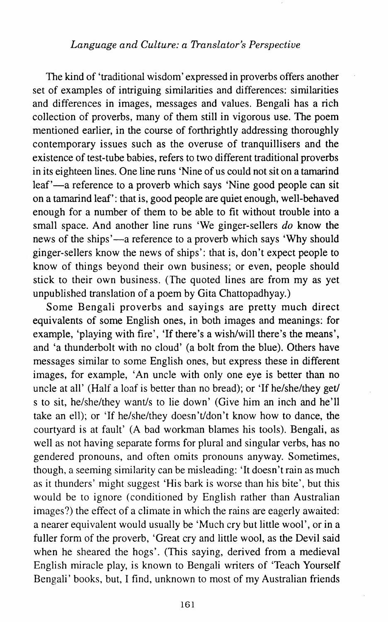## *Language and Culture: a Translator's Perspective*

The kind of 'traditional wisdom' expressed in proverbs offers another set of examples of intriguing similarities and differences: similarities and differences in images, messages and values. Bengali has a rich collection of proverbs, many of them still in vigorous use. The poem mentioned earlier, in the course of forthrightly addressing thoroughly contemporary issues such as the overuse of tranquillisers and the existence of test-tube babies, refers to two different traditional proverbs in its eighteen lines. One line runs 'Nine of us could not sit on a tamarind leaf'—a reference to a proverb which says 'Nine good people can sit on a tamarind leaf': that is, good people are quiet enough, well-behaved enough for a number of them to be able to fit without trouble into a small space. And another line runs 'We ginger-sellers *do* know the news of the ships'—a reference to a proverb which says 'Why should ginger-sellers know the news of ships': that is, don't expect people to know of things beyond their own business; or even, people should stick to their own business. (The quoted lines are from my as yet unpublished translation of a poem by Gita Chattopadhyay.)

Some Bengali proverbs and sayings are pretty much direct equivalents of some English ones, in both images and meanings: for example, 'playing with fire', 'If there's a wish/will there's the means', and 'a thunderbolt with no cloud' (a bolt from the blue). Others have messages similar to some English ones, but express these in different images, for example, 'An uncle with only one eye is better than no uncle at all' (Half a loaf is better than no bread); or 'If he/she/they get/ s to sit, he/she/they want/s to lie down' (Give him an inch and he'll take an ell); or 'If he/she/they doesn't/don't know how to dance, the courtyard is at fault' (A bad workman blames his tools). Bengali, as well as not having separate forms for plural and singular verbs, has no gendered pronouns, and often omits pronouns anyway. Sometimes, though, a seeming similarity can be misleading: 'It doesn't rain as much as it thunders' might suggest 'His bark is worse than his bite', but this would be to ignore (conditioned by English rather than Australian images?) the effect of a climate in which the rains are eagerly awaited: a nearer equivalent would usually be 'Much cry but little wool', or in a fuller form of the proverb, 'Great cry and little wool, as the Devil said when he sheared the hogs'. (This saying, derived from a medieval English miracle play, is known to Bengali writers of 'Teach Yourself Bengali' books, but, I find, unknown to most of my Australian friends